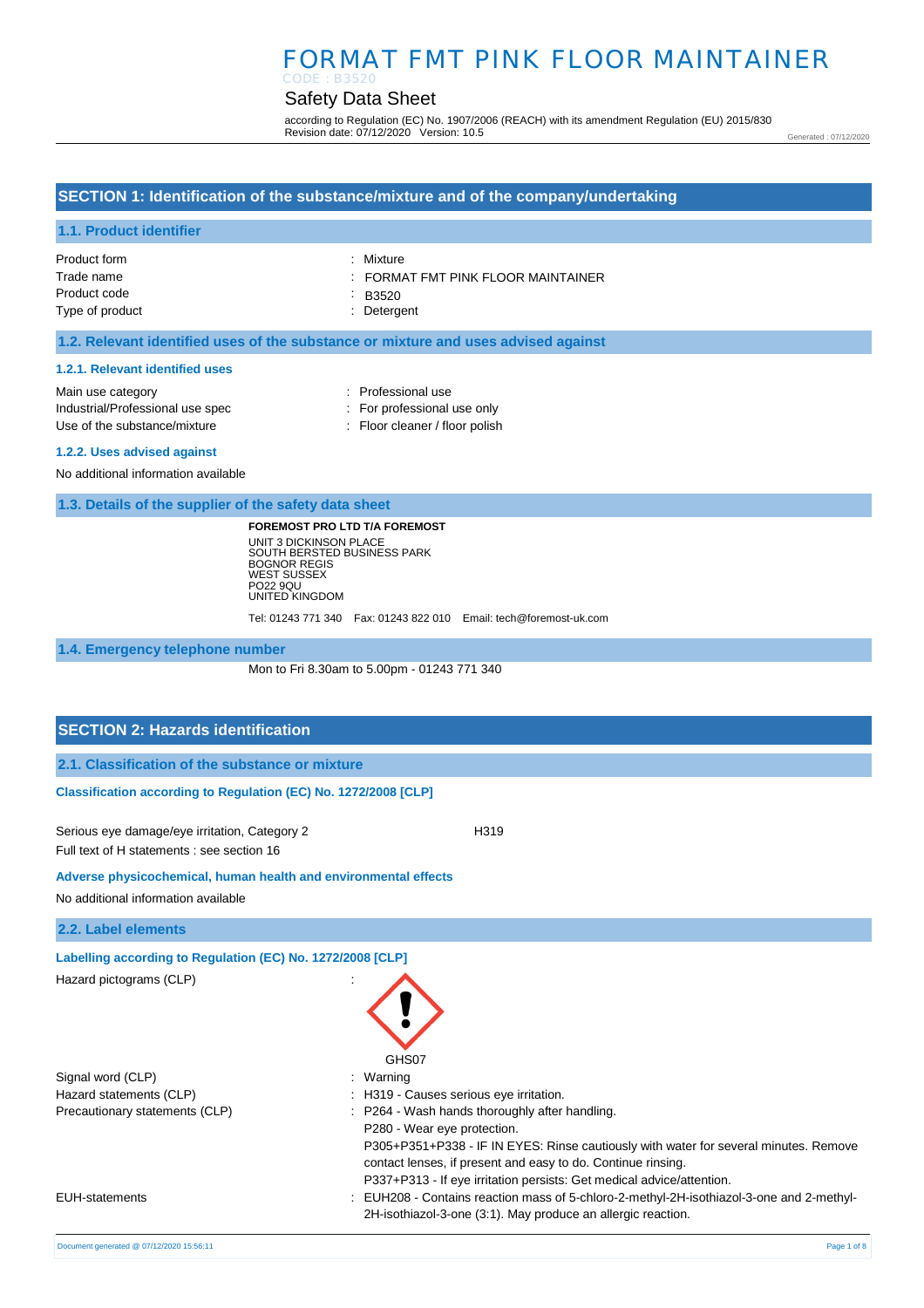# FORMAT FMT PINK FLOOR MAINTAINER CODE : B3520

# Safety Data Sheet

according to Regulation (EC) No. 1907/2006 (REACH) with its amendment Regulation (EU) 2015/830 Revision date: 07/12/2020 Version: 10.5

Generated : 07/12/2020

## **SECTION 1: Identification of the substance/mixture and of the company/undertaking**

#### **1.1. Product identifier**

| Product form    | : Mixture                        |
|-----------------|----------------------------------|
| Trade name      | FORMAT FMT PINK FLOOR MAINTAINER |
| Product code    | $\therefore$ B3520               |
| Type of product | : Detergent                      |

#### **1.2. Relevant identified uses of the substance or mixture and uses advised against**

#### **1.2.1. Relevant identified uses**

| Main use category                | : Professional use             |
|----------------------------------|--------------------------------|
| Industrial/Professional use spec | : For professional use only    |
| Use of the substance/mixture     | : Floor cleaner / floor polish |
|                                  |                                |

#### **1.2.2. Uses advised against**

No additional information available

**1.3. Details of the supplier of the safety data sheet**

**FOREMOST PRO LTD T/A FOREMOST** UNIT 3 DICKINSON PLACE SOUTH BERSTED BUSINESS PARK BOGNOR REGIS WEST SUSSEX PO22 9QU UNITED KINGDOM

Tel: 01243 771 340 Fax: 01243 822 010 Email: tech@foremost-uk.com

**1.4. Emergency telephone number**

Mon to Fri 8.30am to 5.00pm - 01243 771 340

#### **SECTION 2: Hazards identification**

|  | 2.1. Classification of the substance or mixture |  |  |  |
|--|-------------------------------------------------|--|--|--|
|--|-------------------------------------------------|--|--|--|

#### **Classification according to Regulation (EC) No. 1272/2008 [CLP]**

Serious eye damage/eye irritation, Category 2 <br>
H319 Full text of H statements : see section 16

**Adverse physicochemical, human health and environmental effects** 

No additional information available

**2.2. Label elements**

**Labelling according to Regulation (EC) No. 1272/2008 [CLP]**  Hazard pictograms (CLP) :

Signal word (CLP)  $\qquad \qquad$ : Warning

Hazard statements (CLP)  $\qquad \qquad$ : H319 - Causes serious eye irritation. Precautionary statements (CLP) : P264 - Wash hands thoroughly after handling.

Document generated @ 07/12/2020 15:56:11 Page 1 of 8



- P280 Wear eye protection.
- P305+P351+P338 IF IN EYES: Rinse cautiously with water for several minutes. Remove contact lenses, if present and easy to do. Continue rinsing.

P337+P313 - If eye irritation persists: Get medical advice/attention.

EUH-statements : EUH208 - Contains reaction mass of 5-chloro-2-methyl-2H-isothiazol-3-one and 2-methyl-2H-isothiazol-3-one (3:1). May produce an allergic reaction.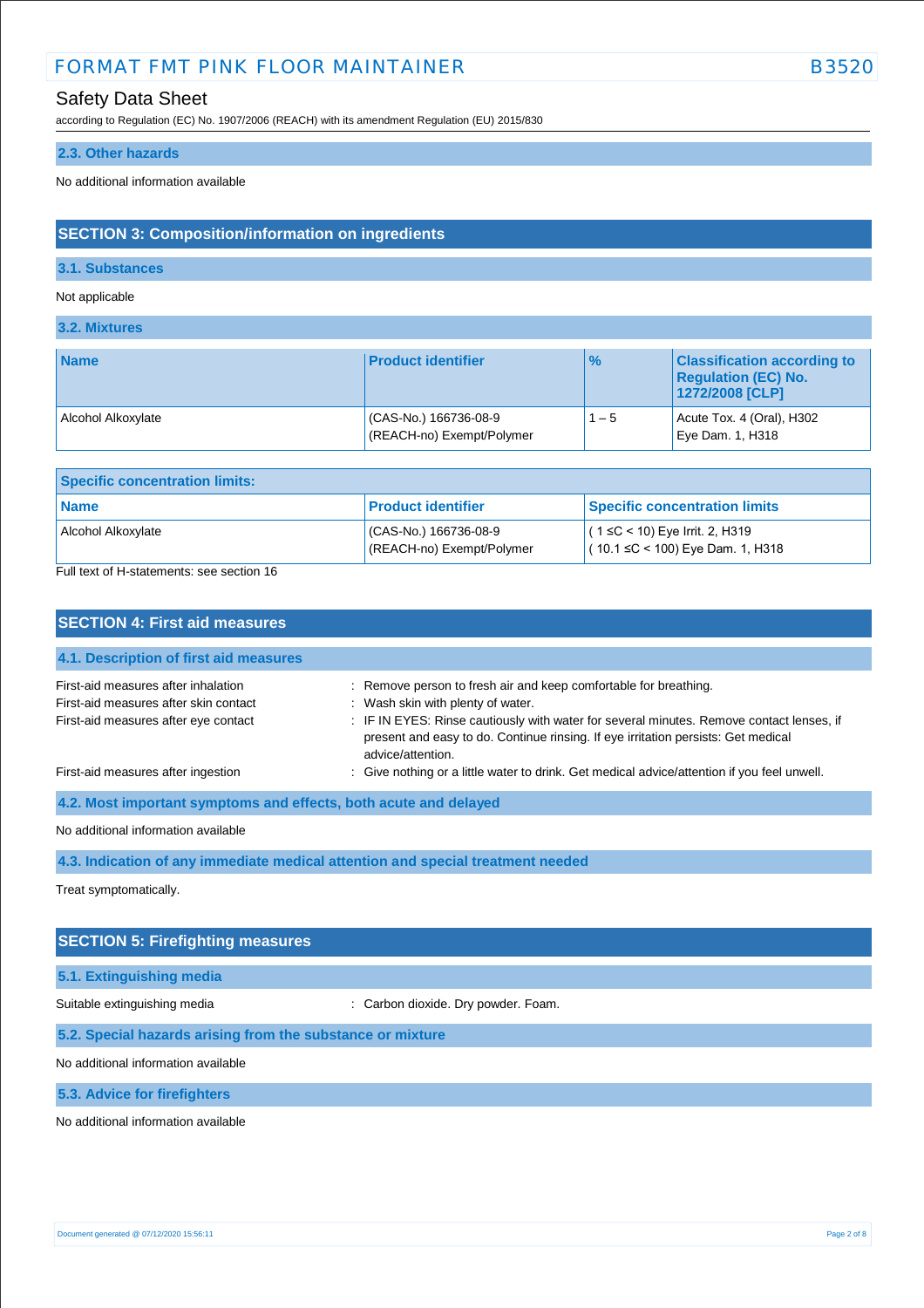# FORMAT FMT PINK FLOOR MAINTAINER **EXAMPLE 1988** B3520

# Safety Data Sheet

according to Regulation (EC) No. 1907/2006 (REACH) with its amendment Regulation (EU) 2015/830

#### **2.3. Other hazards**

No additional information available

## **SECTION 3: Composition/information on ingredients**

#### **3.1. Substances**

Not applicable

**3.2. Mixtures**

| <b>Name</b>        | <b>Product identifier</b>                         | $\frac{9}{6}$ | <b>Classification according to</b><br><b>Regulation (EC) No.</b><br>1272/2008 [CLP] |
|--------------------|---------------------------------------------------|---------------|-------------------------------------------------------------------------------------|
| Alcohol Alkoxylate | CAS-No.) 166736-08-9<br>(REACH-no) Exempt/Polymer | $1 - 5$       | Acute Tox. 4 (Oral), H302<br>Eye Dam. 1, H318                                       |

| <b>Specific concentration limits:</b> |                                                    |                                                                       |  |
|---------------------------------------|----------------------------------------------------|-----------------------------------------------------------------------|--|
| <b>Name</b>                           | l Product identifier                               | <b>Specific concentration limits</b>                                  |  |
| Alcohol Alkoxylate<br>_               | (CAS-No.) 166736-08-9<br>(REACH-no) Exempt/Polymer | $(1 ≤ C < 10)$ Eye Irrit. 2, H319<br>(10.1 ≤C < 100) Eye Dam. 1, H318 |  |

Full text of H-statements: see section 16

| <b>SECTION 4: First aid measures</b>                                                                                 |                                                                                                                                                                                                                                                                                                             |
|----------------------------------------------------------------------------------------------------------------------|-------------------------------------------------------------------------------------------------------------------------------------------------------------------------------------------------------------------------------------------------------------------------------------------------------------|
| 4.1. Description of first aid measures                                                                               |                                                                                                                                                                                                                                                                                                             |
| First-aid measures after inhalation<br>First-aid measures after skin contact<br>First-aid measures after eye contact | : Remove person to fresh air and keep comfortable for breathing.<br>: Wash skin with plenty of water.<br>: IF IN EYES: Rinse cautiously with water for several minutes. Remove contact lenses, if<br>present and easy to do. Continue rinsing. If eye irritation persists: Get medical<br>advice/attention. |
| First-aid measures after ingestion                                                                                   | : Give nothing or a little water to drink. Get medical advice/attention if you feel unwell.                                                                                                                                                                                                                 |
| 4.2. Most important symptoms and effects, both acute and delayed                                                     |                                                                                                                                                                                                                                                                                                             |
| No additional information available                                                                                  |                                                                                                                                                                                                                                                                                                             |

**4.3. Indication of any immediate medical attention and special treatment needed**

Treat symptomatically.

# **SECTION 5: Firefighting measures 5.1. Extinguishing media** Suitable extinguishing media : Carbon dioxide. Dry powder. Foam. **5.2. Special hazards arising from the substance or mixture**

No additional information available

**5.3. Advice for firefighters**

No additional information available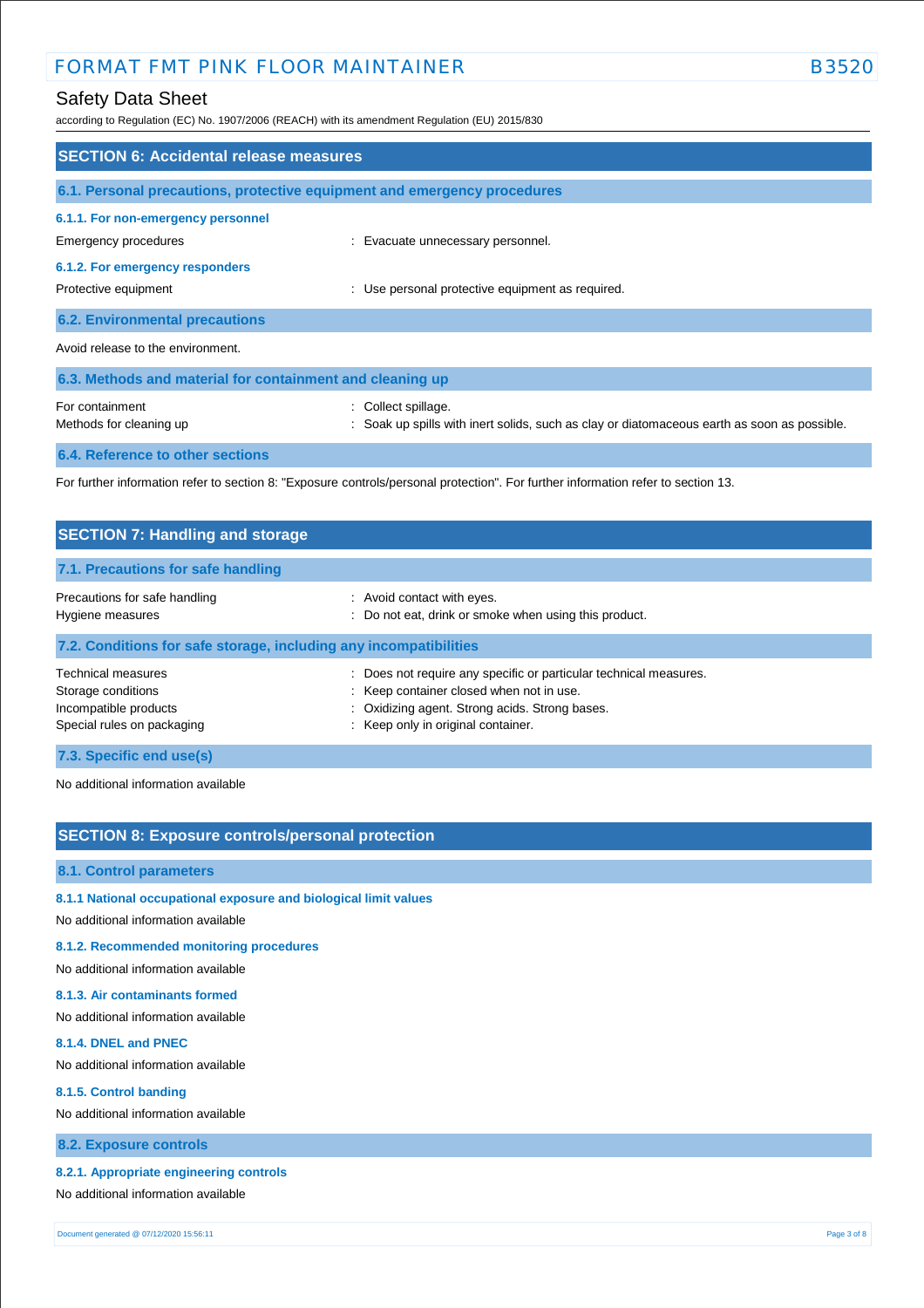# FORMAT FMT PINK FLOOR MAINTAINER **EXAMPLE 1988** B3520

according to Regulation (EC) No. 1907/2006 (REACH) with its amendment Regulation (EU) 2015/830

| <b>SECTION 6: Accidental release measures</b>                            |                                                                                                                                   |  |  |
|--------------------------------------------------------------------------|-----------------------------------------------------------------------------------------------------------------------------------|--|--|
| 6.1. Personal precautions, protective equipment and emergency procedures |                                                                                                                                   |  |  |
| 6.1.1. For non-emergency personnel<br>Emergency procedures               | : Evacuate unnecessary personnel.                                                                                                 |  |  |
| 6.1.2. For emergency responders<br>Protective equipment                  | : Use personal protective equipment as required.                                                                                  |  |  |
| <b>6.2. Environmental precautions</b>                                    |                                                                                                                                   |  |  |
| Avoid release to the environment.                                        |                                                                                                                                   |  |  |
| 6.3. Methods and material for containment and cleaning up                |                                                                                                                                   |  |  |
| For containment<br>Methods for cleaning up                               | : Collect spillage.<br>: Soak up spills with inert solids, such as clay or diatomaceous earth as soon as possible.                |  |  |
| 6.4. Reference to other sections                                         |                                                                                                                                   |  |  |
|                                                                          | For further information refer to section 8: "Exposure controls/personal protection". For further information refer to section 13. |  |  |

| <b>SECTION 7: Handling and storage</b>                                                          |                                                                                                                                                                                                     |  |  |
|-------------------------------------------------------------------------------------------------|-----------------------------------------------------------------------------------------------------------------------------------------------------------------------------------------------------|--|--|
| 7.1. Precautions for safe handling                                                              |                                                                                                                                                                                                     |  |  |
| Precautions for safe handling<br>Hygiene measures                                               | : Avoid contact with eyes.<br>: Do not eat, drink or smoke when using this product.                                                                                                                 |  |  |
| 7.2. Conditions for safe storage, including any incompatibilities                               |                                                                                                                                                                                                     |  |  |
| Technical measures<br>Storage conditions<br>Incompatible products<br>Special rules on packaging | Does not require any specific or particular technical measures.<br>: Keep container closed when not in use.<br>: Oxidizing agent. Strong acids. Strong bases.<br>: Keep only in original container. |  |  |
| 7.3. Specific end use(s)                                                                        |                                                                                                                                                                                                     |  |  |

No additional information available

## **SECTION 8: Exposure controls/personal protection**

#### **8.1. Control parameters**

- **8.1.1 National occupational exposure and biological limit values**
- No additional information available

#### **8.1.2. Recommended monitoring procedures**

No additional information available

#### **8.1.3. Air contaminants formed**

No additional information available

#### **8.1.4. DNEL and PNEC**

No additional information available

#### **8.1.5. Control banding**

No additional information available

## **8.2. Exposure controls**

#### **8.2.1. Appropriate engineering controls**

No additional information available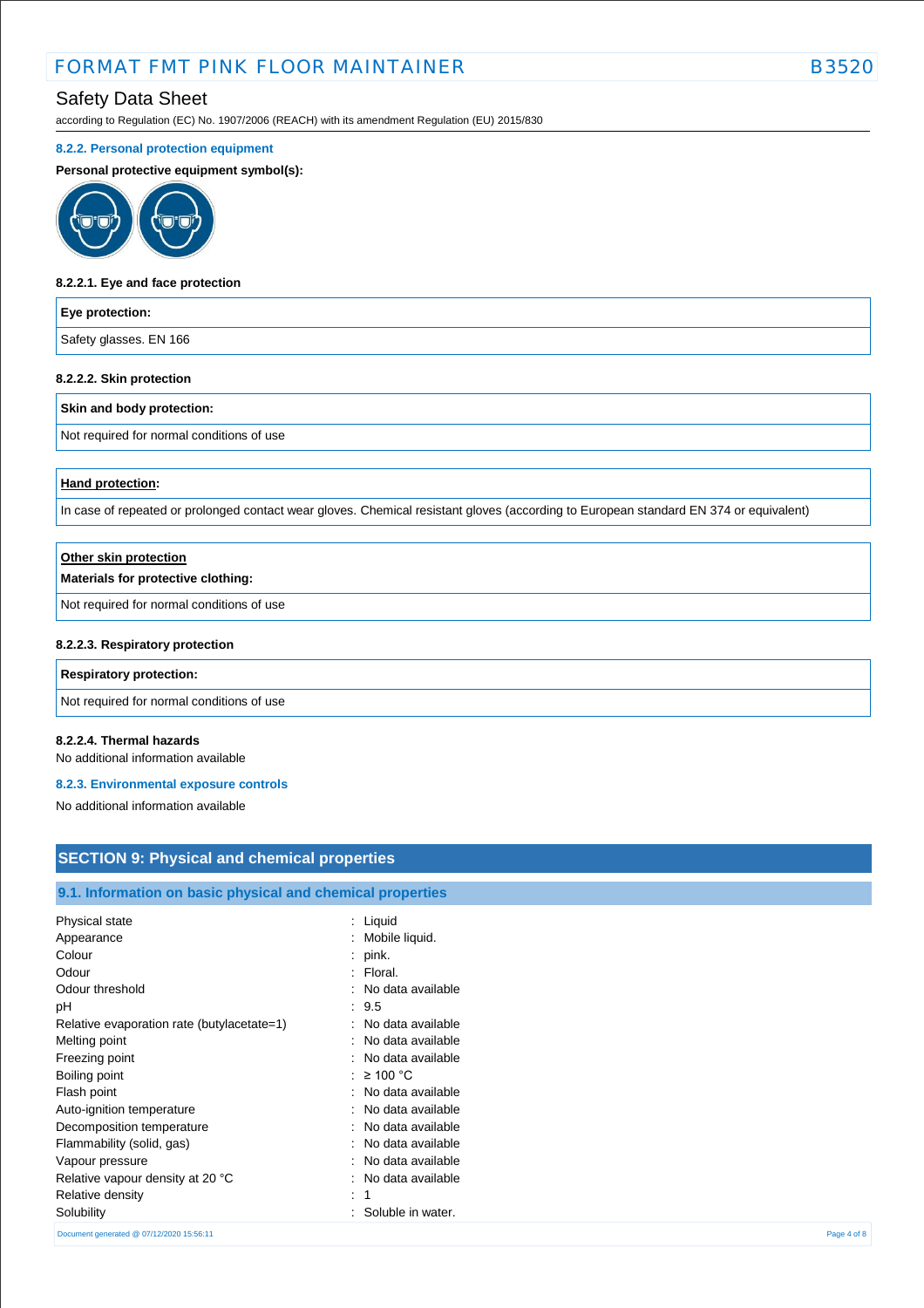# FORMAT FMT PINK FLOOR MAINTAINER **EXAMPLE 1998** B352

# Safety Data Sheet

according to Regulation (EC) No. 1907/2006 (REACH) with its amendment Regulation (EU) 2015/830

#### **8.2.2. Personal protection equipment**

**Personal protective equipment symbol(s):**



#### **8.2.2.1. Eye and face protection**

#### **Eye protection:**

Safety glasses. EN 166

#### **8.2.2.2. Skin protection**

#### **Skin and body protection:**

Not required for normal conditions of use

#### **Hand protection:**

In case of repeated or prolonged contact wear gloves. Chemical resistant gloves (according to European standard EN 374 or equivalent)

| Other skin protection                     |  |
|-------------------------------------------|--|
| Materials for protective clothing:        |  |
| Not required for normal conditions of use |  |
| 8.2.2.3. Respiratory protection           |  |
| <b>Respiratory protection:</b>            |  |

Not required for normal conditions of use

#### **8.2.2.4. Thermal hazards**

No additional information available

#### **8.2.3. Environmental exposure controls**

No additional information available

## **SECTION 9: Physical and chemical properties**

#### **9.1. Information on basic physical and chemical properties**

| Physical state                             | : Liquid                |             |
|--------------------------------------------|-------------------------|-------------|
| Appearance                                 | Mobile liquid.<br>÷     |             |
| Colour                                     | pink.<br>÷              |             |
| Odour                                      | : Floral.               |             |
| Odour threshold                            | : No data available     |             |
| рH                                         | : 9.5                   |             |
| Relative evaporation rate (butylacetate=1) | : No data available     |             |
| Melting point                              | : No data available     |             |
| Freezing point                             | : No data available     |             |
| Boiling point                              | : $\geq 100$ °C         |             |
| Flash point                                | : No data available     |             |
| Auto-ignition temperature                  | : No data available     |             |
| Decomposition temperature                  | : No data available     |             |
| Flammability (solid, gas)                  | : No data available     |             |
| Vapour pressure                            | No data available<br>۰. |             |
| Relative vapour density at 20 °C           | : No data available     |             |
| Relative density                           | ÷                       |             |
| Solubility                                 | Soluble in water.       |             |
| Document generated @ 07/12/2020 15:56:11   |                         | Page 4 of 8 |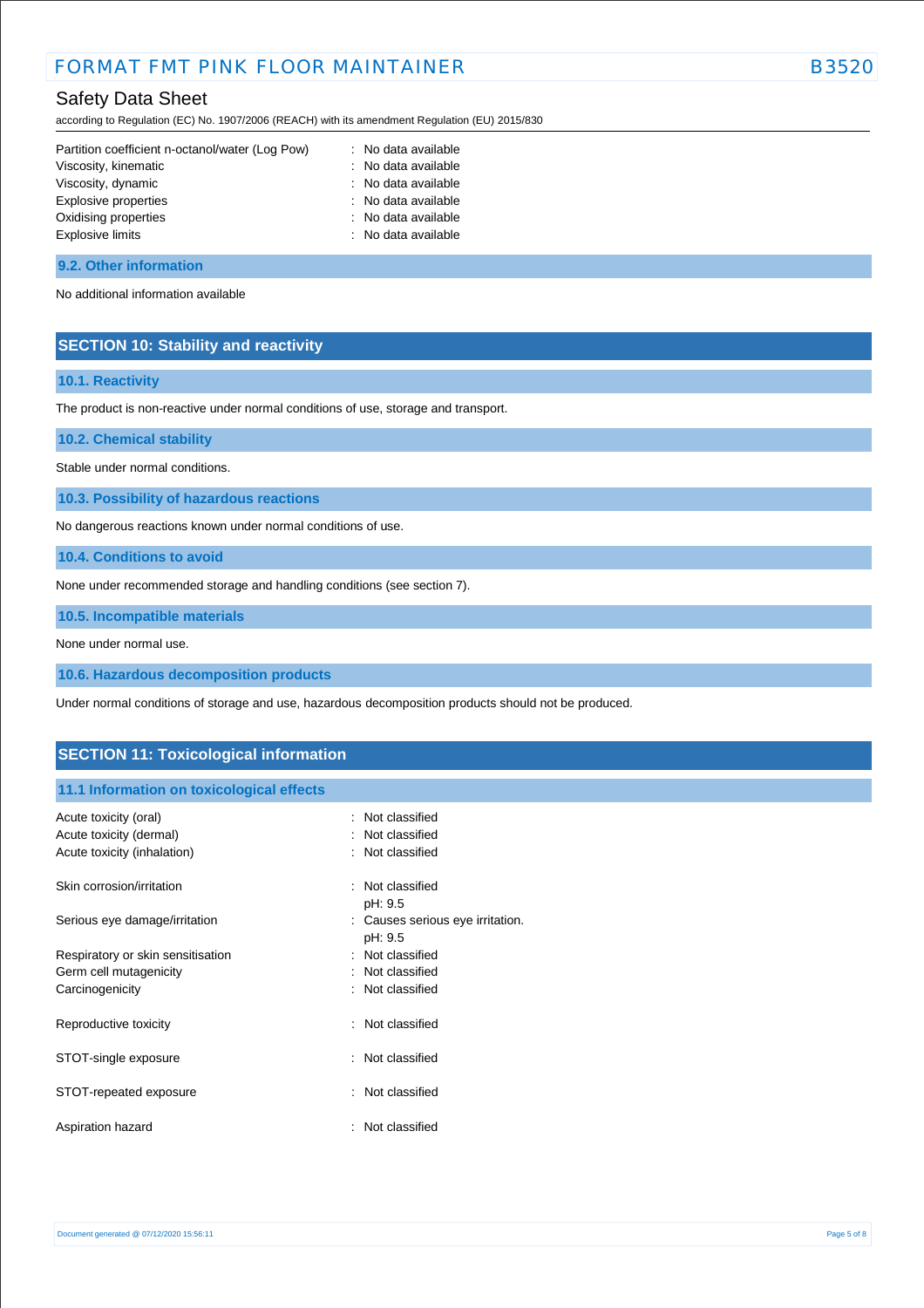# FORMAT FMT PINK FLOOR MAINTAINFR<br>B3520

# Safety Data Sheet

according to Regulation (EC) No. 1907/2006 (REACH) with its amendment Regulation (EU) 2015/830

| Partition coefficient n-octanol/water (Log Pow) | : No data available |
|-------------------------------------------------|---------------------|
| Viscosity, kinematic                            | : No data available |
| Viscosity, dynamic                              | : No data available |
| Explosive properties                            | : No data available |
| Oxidising properties                            | : No data available |
| Explosive limits                                | : No data available |
|                                                 |                     |

#### **9.2. Other information**

No additional information available

## **SECTION 10: Stability and reactivity**

#### **10.1. Reactivity**

The product is non-reactive under normal conditions of use, storage and transport.

**10.2. Chemical stability**

Stable under normal conditions.

**10.3. Possibility of hazardous reactions**

No dangerous reactions known under normal conditions of use.

**10.4. Conditions to avoid**

None under recommended storage and handling conditions (see section 7).

**10.5. Incompatible materials**

None under normal use.

**10.6. Hazardous decomposition products**

Under normal conditions of storage and use, hazardous decomposition products should not be produced.

## **SECTION 11: Toxicological information**

#### **11.1 Information on toxicological effects**

| Acute toxicity (oral)<br>Acute toxicity (dermal)<br>Acute toxicity (inhalation) | Not classified<br>: Not classified<br>: Not classified |
|---------------------------------------------------------------------------------|--------------------------------------------------------|
| Skin corrosion/irritation                                                       | : Not classified<br>pH: 9.5                            |
| Serious eye damage/irritation                                                   | : Causes serious eye irritation.<br>pH: 9.5            |
| Respiratory or skin sensitisation                                               | : Not classified                                       |
| Germ cell mutagenicity                                                          | Not classified                                         |
| Carcinogenicity                                                                 | : Not classified                                       |
| Reproductive toxicity                                                           | : Not classified                                       |
| STOT-single exposure                                                            | : Not classified                                       |
| STOT-repeated exposure                                                          | : Not classified                                       |
| Aspiration hazard                                                               | : Not classified                                       |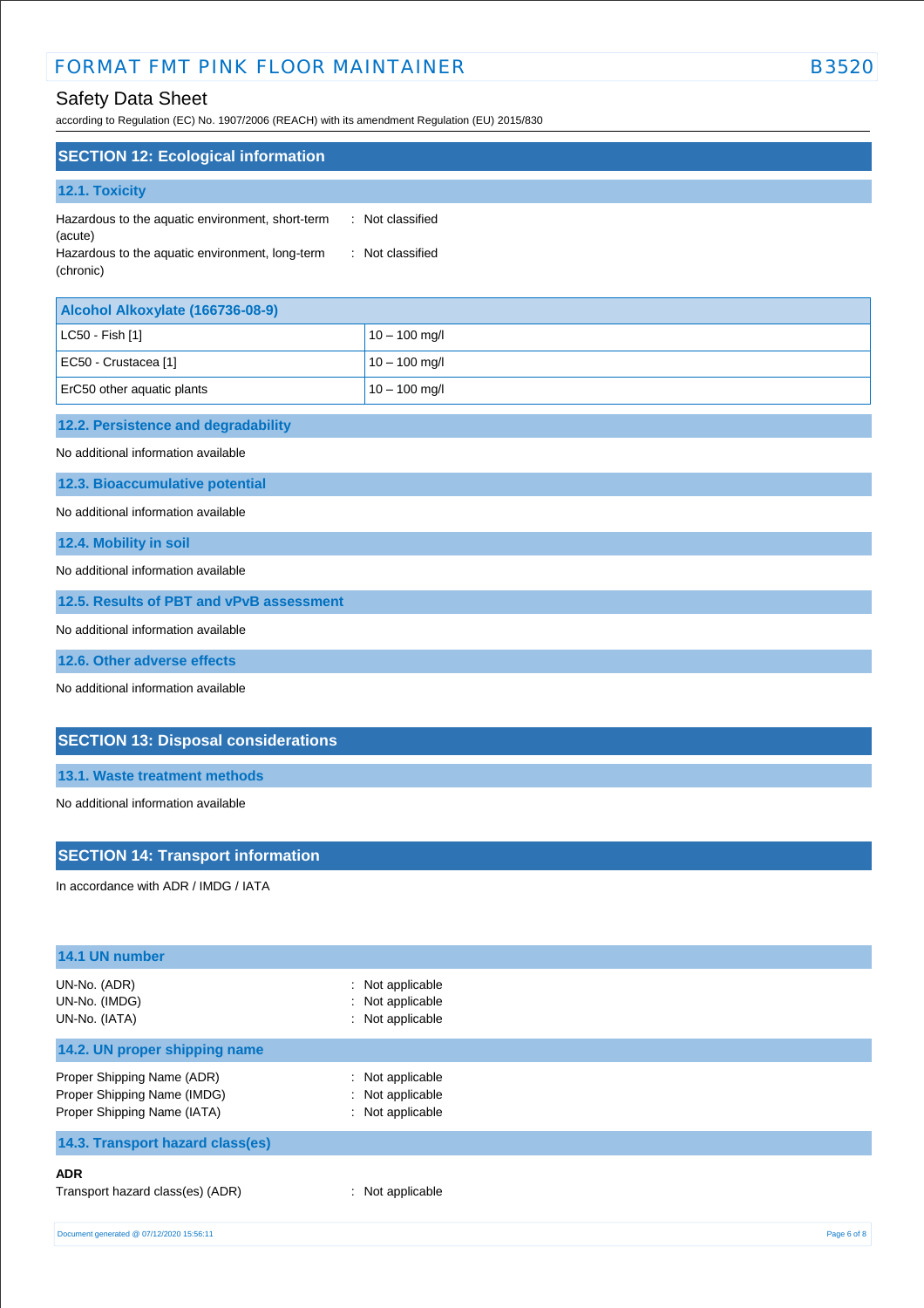# FORMAT FMT PINK FLOOR MAINTAINER **EXAMPLE 1988** B3520

# Safety Data Sheet

according to Regulation (EC) No. 1907/2006 (REACH) with its amendment Regulation (EU) 2015/830

| <b>SECTION 12: Ecological information</b>                    |                  |  |  |  |
|--------------------------------------------------------------|------------------|--|--|--|
| <b>12.1. Toxicity</b>                                        |                  |  |  |  |
| Hazardous to the aquatic environment, short-term<br>(acute)  | : Not classified |  |  |  |
| Hazardous to the aquatic environment, long-term<br>(chronic) | : Not classified |  |  |  |

| Alcohol Alkoxylate (166736-08-9) |                 |
|----------------------------------|-----------------|
| $ $ LC50 - Fish [1]              | $10 - 100$ mg/l |
| EC50 - Crustacea [1]             | $10 - 100$ mg/l |
| ErC50 other aquatic plants       | $10 - 100$ mg/l |

## **12.2. Persistence and degradability**

No additional information available

**12.3. Bioaccumulative potential**

No additional information available

**12.4. Mobility in soil**

No additional information available

**12.5. Results of PBT and vPvB assessment**

No additional information available

**12.6. Other adverse effects**

No additional information available

## **SECTION 13: Disposal considerations**

**13.1. Waste treatment methods**

No additional information available

#### **SECTION 14: Transport information**

In accordance with ADR / IMDG / IATA

| 14.1 UN number                                                                           |                                                          |
|------------------------------------------------------------------------------------------|----------------------------------------------------------|
| UN-No. (ADR)<br>UN-No. (IMDG)<br>UN-No. (IATA)                                           | : Not applicable<br>: Not applicable<br>: Not applicable |
| 14.2. UN proper shipping name                                                            |                                                          |
| Proper Shipping Name (ADR)<br>Proper Shipping Name (IMDG)<br>Proper Shipping Name (IATA) | : Not applicable<br>: Not applicable<br>: Not applicable |
| 14.3. Transport hazard class(es)                                                         |                                                          |
| <b>ADR</b><br>Transport hazard class(es) (ADR)                                           | : Not applicable                                         |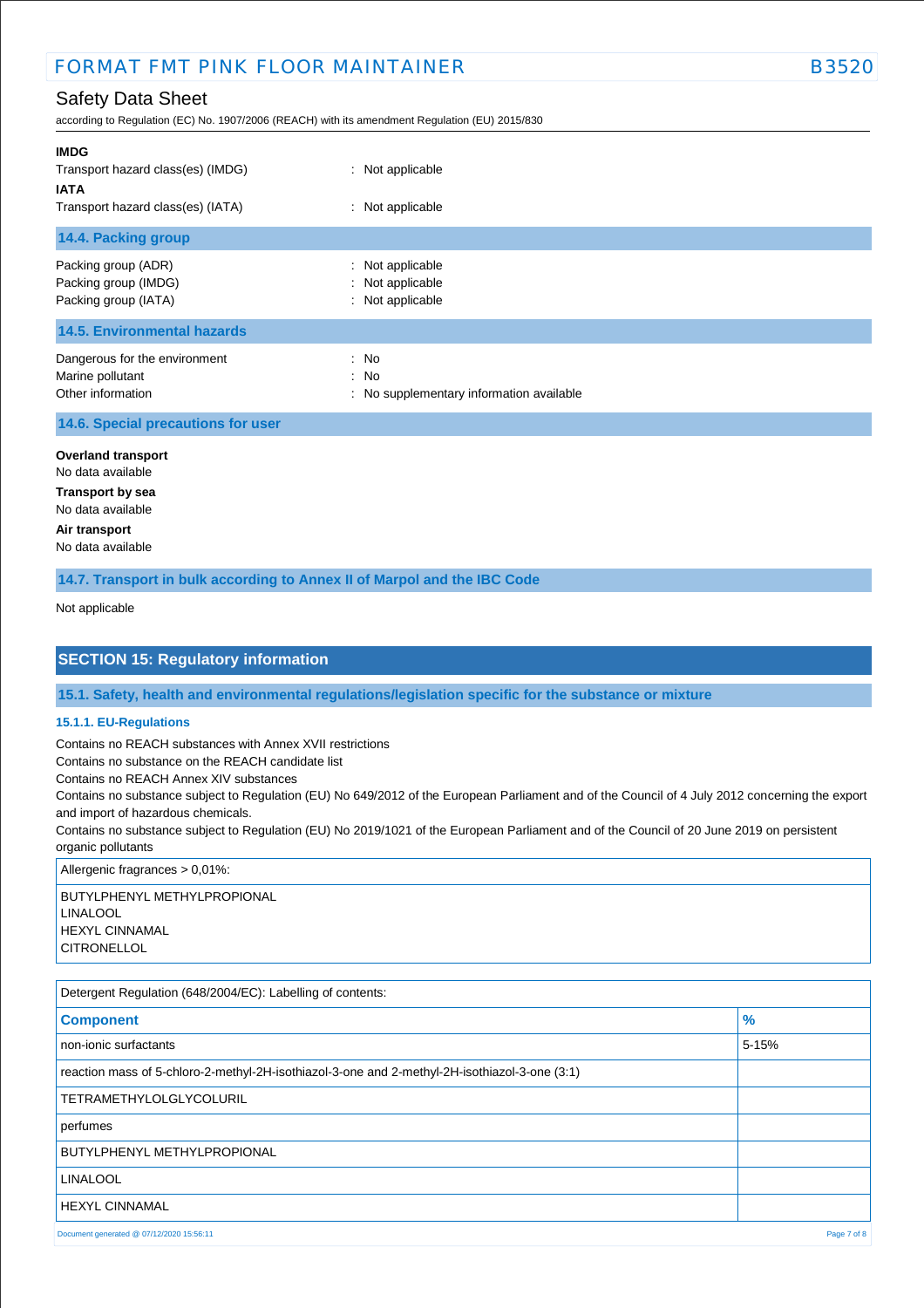# FORMAT FMT PINK FLOOR MAINTAINFR<br>B352

# Safety Data Sheet

according to Regulation (EC) No. 1907/2006 (REACH) with its amendment Regulation (EU) 2015/830

| <b>IMDG</b><br>Transport hazard class(es) (IMDG)<br><b>IATA</b><br>Transport hazard class(es) (IATA) | : Not applicable<br>: Not applicable                                                      |
|------------------------------------------------------------------------------------------------------|-------------------------------------------------------------------------------------------|
| 14.4. Packing group                                                                                  |                                                                                           |
| Packing group (ADR)<br>Packing group (IMDG)<br>Packing group (IATA)                                  | : Not applicable<br>: Not applicable<br>: Not applicable                                  |
| <b>14.5. Environmental hazards</b>                                                                   |                                                                                           |
| Dangerous for the environment<br>Marine pollutant<br>Other information                               | : No<br>$\therefore$ No<br>No supplementary information available<br>$\ddot{\phantom{a}}$ |

#### **14.6. Special precautions for user**

**Overland transport** No data available

**Transport by sea** No data available **Air transport** No data available

**14.7. Transport in bulk according to Annex II of Marpol and the IBC Code**

Not applicable

## **SECTION 15: Regulatory information**

**15.1. Safety, health and environmental regulations/legislation specific for the substance or mixture**

#### **15.1.1. EU-Regulations**

Contains no REACH substances with Annex XVII restrictions

Contains no substance on the REACH candidate list

Contains no REACH Annex XIV substances

Contains no substance subject to Regulation (EU) No 649/2012 of the European Parliament and of the Council of 4 July 2012 concerning the export and import of hazardous chemicals.

Contains no substance subject to Regulation (EU) No 2019/1021 of the European Parliament and of the Council of 20 June 2019 on persistent organic pollutants

Allergenic fragrances > 0,01%:

BUTYLPHENYL METHYLPROPIONAL LINALOOL HEXYL CINNAMAL **CITRONELLOL** 

| Detergent Regulation (648/2004/EC): Labelling of contents:                                    |               |
|-----------------------------------------------------------------------------------------------|---------------|
| <b>Component</b>                                                                              | $\frac{9}{6}$ |
| non-ionic surfactants                                                                         | $5 - 15%$     |
| reaction mass of 5-chloro-2-methyl-2H-isothiazol-3-one and 2-methyl-2H-isothiazol-3-one (3:1) |               |
| <b>TETRAMETHYLOLGLYCOLURIL</b>                                                                |               |
| perfumes                                                                                      |               |
| BUTYLPHENYL METHYLPROPIONAL                                                                   |               |
| <b>LINALOOL</b>                                                                               |               |
| <b>HEXYL CINNAMAL</b>                                                                         |               |
| Document generated @ 07/12/2020 15:56:11                                                      | Page 7 of 8   |